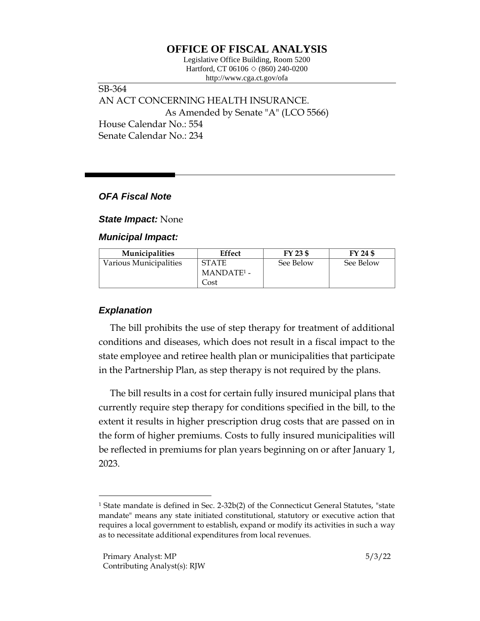# **OFFICE OF FISCAL ANALYSIS**

Legislative Office Building, Room 5200 Hartford, CT 06106  $\Diamond$  (860) 240-0200 http://www.cga.ct.gov/ofa

SB-364 AN ACT CONCERNING HEALTH INSURANCE. As Amended by Senate "A" (LCO 5566) House Calendar No.: 554 Senate Calendar No.: 234

### *OFA Fiscal Note*

*State Impact:* None

#### *Municipal Impact:*

| <b>Municipalities</b>  | Effect                 | FY 23 \$  | FY 24 \$  |
|------------------------|------------------------|-----------|-----------|
| Various Municipalities | <b>STATE</b>           | See Below | See Below |
|                        | MANDATE <sup>1</sup> - |           |           |
|                        | Cost                   |           |           |

## *Explanation*

The bill prohibits the use of step therapy for treatment of additional conditions and diseases, which does not result in a fiscal impact to the state employee and retiree health plan or municipalities that participate in the Partnership Plan, as step therapy is not required by the plans.

The bill results in a cost for certain fully insured municipal plans that currently require step therapy for conditions specified in the bill, to the extent it results in higher prescription drug costs that are passed on in the form of higher premiums. Costs to fully insured municipalities will be reflected in premiums for plan years beginning on or after January 1, 2023.

<sup>&</sup>lt;sup>1</sup> State mandate is defined in Sec. 2-32b(2) of the Connecticut General Statutes, "state mandate" means any state initiated constitutional, statutory or executive action that requires a local government to establish, expand or modify its activities in such a way as to necessitate additional expenditures from local revenues.